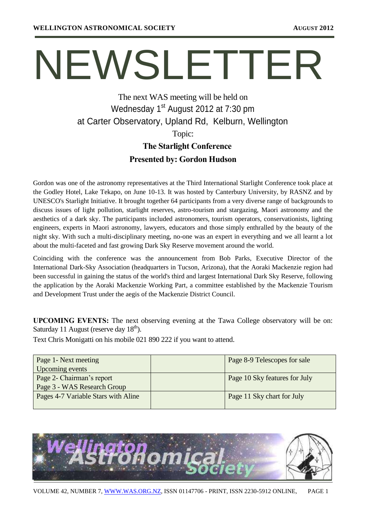# NEWSLETTER

# The next WAS meeting will be held on Wednesday 1<sup>st</sup> August 2012 at 7:30 pm at Carter Observatory, Upland Rd, Kelburn, Wellington Topic: **The Starlight Conference**

# **Presented by: Gordon Hudson**

Gordon was one of the astronomy representatives at the Third International Starlight Conference took place at the Godley Hotel, Lake Tekapo, on June 10-13. It was hosted by Canterbury University, by RASNZ and by UNESCO's Starlight Initiative. It brought together 64 participants from a very diverse range of backgrounds to discuss issues of light pollution, starlight reserves, astro-tourism and stargazing, Maori astronomy and the aesthetics of a dark sky. The participants included astronomers, tourism operators, conservationists, lighting engineers, experts in Maori astronomy, lawyers, educators and those simply enthralled by the beauty of the night sky. With such a multi-disciplinary meeting, no-one was an expert in everything and we all learnt a lot about the multi-faceted and fast growing Dark Sky Reserve movement around the world.

Coinciding with the conference was the announcement from Bob Parks, Executive Director of the International Dark-Sky Association (headquarters in Tucson, Arizona), that the Aoraki Mackenzie region had been successful in gaining the status of the world's third and largest International Dark Sky Reserve, following the application by the Aoraki Mackenzie Working Part, a committee established by the Mackenzie Tourism and Development Trust under the aegis of the Mackenzie District Council.

**UPCOMING EVENTS:** The next observing evening at the Tawa College observatory will be on: Saturday 11 August (reserve day  $18<sup>th</sup>$ ).

Text Chris Monigatti on his mobile 021 890 222 if you want to attend.

| Page 1- Next meeting                | Page 8-9 Telescopes for sale  |
|-------------------------------------|-------------------------------|
| Upcoming events                     |                               |
| Page 2- Chairman's report           | Page 10 Sky features for July |
| Page 3 - WAS Research Group         |                               |
| Pages 4-7 Variable Stars with Aline | Page 11 Sky chart for July    |
|                                     |                               |

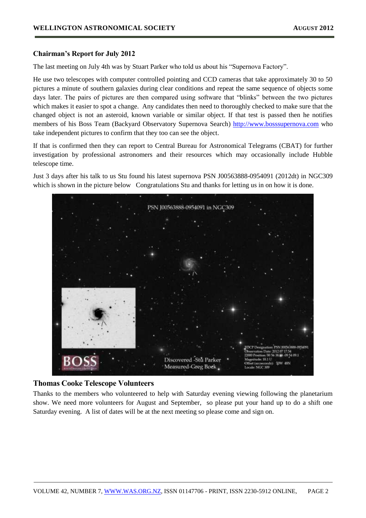#### **Chairman's Report for July 2012**

The last meeting on July 4th was by Stuart Parker who told us about his "Supernova Factory".

He use two telescopes with computer controlled pointing and CCD cameras that take approximately 30 to 50 pictures a minute of southern galaxies during clear conditions and repeat the same sequence of objects some days later. The pairs of pictures are then compared using software that "blinks" between the two pictures which makes it easier to spot a change. Any candidates then need to thoroughly checked to make sure that the changed object is not an asteroid, known variable or similar object. If that test is passed then he notifies members of his Boss Team (Backyard Observatory Supernova Search) [http://www.bosssupernova.com](http://www.bosssupernova.com/) who take independent pictures to confirm that they too can see the object.

If that is confirmed then they can report to Central Bureau for Astronomical Telegrams (CBAT) for further investigation by professional astronomers and their resources which may occasionally include Hubble telescope time.

Just 3 days after his talk to us Stu found his latest supernova PSN J00563888-0954091 (2012dt) in NGC309 which is shown in the picture below Congratulations Stu and thanks for letting us in on how it is done.



#### **Thomas Cooke Telescope Volunteers**

Thanks to the members who volunteered to help with Saturday evening viewing following the planetarium show. We need more volunteers for August and September, so please put your hand up to do a shift one Saturday evening. A list of dates will be at the next meeting so please come and sign on.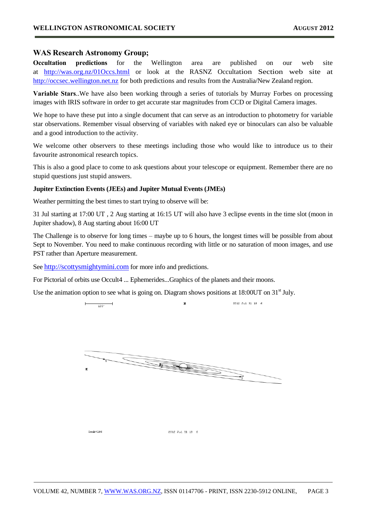#### **WAS Research Astronomy Group;**

**Occultation predictions** for the Wellington area are published on our web site at [http://was.org.nz/01Occs.html](http://was.org.nz/01occs.html) or look at the RASNZ Occultation Section web site at [http://occsec.wellington.net.nz](http://occsec.wellington.net.nz/) for both predictions and results from the Australia/New Zealand region.

**Variable Stars**..We have also been working through a series of tutorials by Murray Forbes on processing images with IRIS software in order to get accurate star magnitudes from CCD or Digital Camera images.

We hope to have these put into a single document that can serve as an introduction to photometry for variable star observations. Remember visual observing of variables with naked eye or binoculars can also be valuable and a good introduction to the activity.

We welcome other observers to these meetings including those who would like to introduce us to their favourite astronomical research topics.

This is also a good place to come to ask questions about your telescope or equipment. Remember there are no stupid questions just stupid answers.

#### **Jupiter Extinction Events (JEEs) and Jupiter Mutual Events (JMEs)**

Weather permitting the best times to start trying to observe will be:

31 Jul starting at 17:00 UT , 2 Aug starting at 16:15 UT will also have 3 eclipse events in the time slot (moon in Jupiter shadow), 8 Aug starting about 16:00 UT

The Challenge is to observe for long times – maybe up to 6 hours, the longest times will be possible from about Sept to November. You need to make continuous recording with little or no saturation of moon images, and use PST rather than Aperture measurement.

See [http://scottysmightymini.com](http://scottysmightymini.com/) for more info and predictions.

For Pictorial of orbits use Occult4 ... Ephemerides...Graphics of the planets and their moons.

Use the animation option to see what is going on. Diagram shows positions at  $18:00UT$  on  $31<sup>st</sup>$  July.

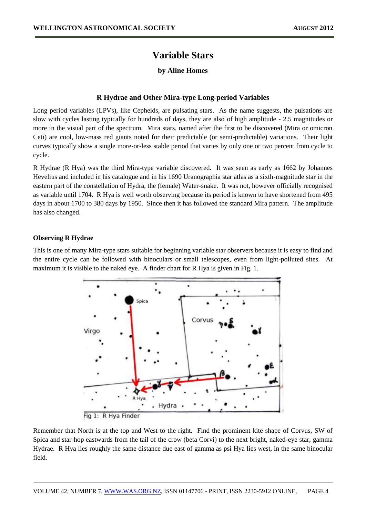## **Variable Stars**

#### **by Aline Homes**

#### **R Hydrae and Other Mira-type Long-period Variables**

Long period variables (LPVs), like Cepheids, are pulsating stars. As the name suggests, the pulsations are slow with cycles lasting typically for hundreds of days, they are also of high amplitude - 2.5 magnitudes or more in the visual part of the spectrum. Mira stars, named after the first to be discovered (Mira or omicron Ceti) are cool, low-mass red giants noted for their predictable (or semi-predictable) variations. Their light curves typically show a single more-or-less stable period that varies by only one or two percent from cycle to cycle.

R Hydrae (R Hya) was the third Mira-type variable discovered. It was seen as early as 1662 by Johannes Hevelius and included in his catalogue and in his 1690 Uranographia star atlas as a sixth-magnitude star in the eastern part of the constellation of Hydra, the (female) Water-snake. It was not, however officially recognised as variable until 1704. R Hya is well worth observing because its period is known to have shortened from 495 days in about 1700 to 380 days by 1950. Since then it has followed the standard Mira pattern. The amplitude has also changed.

#### **Observing R Hydrae**

This is one of many Mira-type stars suitable for beginning variable star observers because it is easy to find and the entire cycle can be followed with binoculars or small telescopes, even from light-polluted sites. At maximum it is visible to the naked eye. A finder chart for R Hya is given in Fig. 1.



Remember that North is at the top and West to the right. Find the prominent kite shape of Corvus, SW of Spica and star-hop eastwards from the tail of the crow (beta Corvi) to the next bright, naked-eye star, gamma Hydrae. R Hya lies roughly the same distance due east of gamma as psi Hya lies west, in the same binocular field.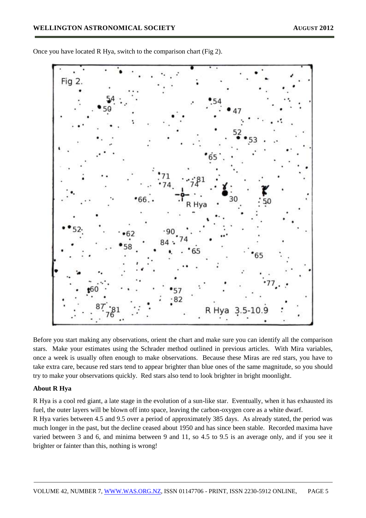

Once you have located R Hya, switch to the comparison chart (Fig 2).

Before you start making any observations, orient the chart and make sure you can identify all the comparison stars. Make your estimates using the Schrader method outlined in previous articles. With Mira variables, once a week is usually often enough to make observations. Because these Miras are red stars, you have to take extra care, because red stars tend to appear brighter than blue ones of the same magnitude, so you should try to make your observations quickly. Red stars also tend to look brighter in bright moonlight.

#### **About R Hya**

R Hya is a cool red giant, a late stage in the evolution of a sun-like star. Eventually, when it has exhausted its fuel, the outer layers will be blown off into space, leaving the carbon-oxygen core as a white dwarf.

R Hya varies between 4.5 and 9.5 over a period of approximately 385 days. As already stated, the period was much longer in the past, but the decline ceased about 1950 and has since been stable. Recorded maxima have varied between 3 and 6, and minima between 9 and 11, so 4.5 to 9.5 is an average only, and if you see it brighter or fainter than this, nothing is wrong!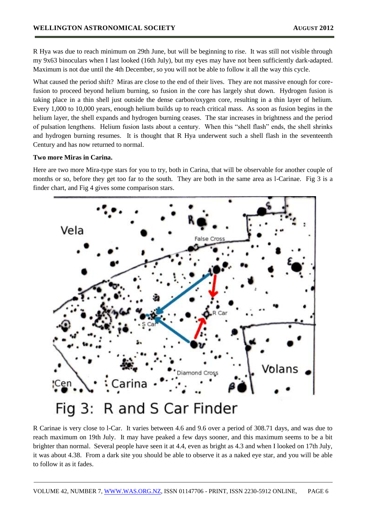R Hya was due to reach minimum on 29th June, but will be beginning to rise. It was still not visible through my 9x63 binoculars when I last looked (16th July), but my eyes may have not been sufficiently dark-adapted. Maximum is not due until the 4th December, so you will not be able to follow it all the way this cycle.

What caused the period shift? Miras are close to the end of their lives. They are not massive enough for corefusion to proceed beyond helium burning, so fusion in the core has largely shut down. Hydrogen fusion is taking place in a thin shell just outside the dense carbon/oxygen core, resulting in a thin layer of helium. Every 1,000 to 10,000 years, enough helium builds up to reach critical mass. As soon as fusion begins in the helium layer, the shell expands and hydrogen burning ceases. The star increases in brightness and the period of pulsation lengthens. Helium fusion lasts about a century. When this "shell flash" ends, the shell shrinks and hydrogen burning resumes. It is thought that R Hya underwent such a shell flash in the seventeenth Century and has now returned to normal.

#### **Two more Miras in Carina.**

Here are two more Mira-type stars for you to try, both in Carina, that will be observable for another couple of months or so, before they get too far to the south. They are both in the same area as l-Carinae. Fig 3 is a finder chart, and Fig 4 gives some comparison stars.



R Carinae is very close to l-Car. It varies between 4.6 and 9.6 over a period of 308.71 days, and was due to reach maximum on 19th July. It may have peaked a few days sooner, and this maximum seems to be a bit brighter than normal. Several people have seen it at 4.4, even as bright as 4.3 and when I looked on 17th July, it was about 4.38. From a dark site you should be able to observe it as a naked eye star, and you will be able to follow it as it fades.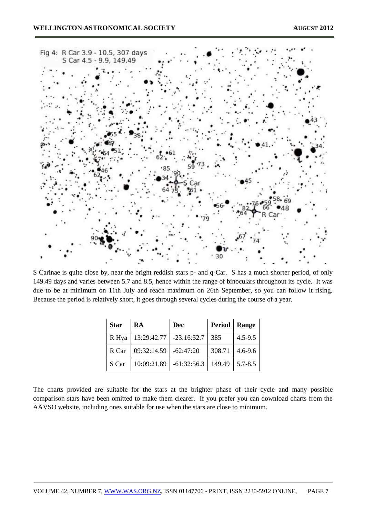

S Carinae is quite close by, near the bright reddish stars p- and q-Car. S has a much shorter period, of only 149.49 days and varies between 5.7 and 8.5, hence within the range of binoculars throughout its cycle. It was due to be at minimum on 11th July and reach maximum on 26th September, so you can follow it rising. Because the period is relatively short, it goes through several cycles during the course of a year.

| <b>Star</b> | RA                        | Dec           | Period   Range |             |
|-------------|---------------------------|---------------|----------------|-------------|
| R Hya       | $13:29:42.77$ -23:16:52.7 |               | 385            | $4.5 - 9.5$ |
| R Car       | 09:32:14.59               | $-62:47:20$   | 308.71         | $4.6 - 9.6$ |
| S Car       | 10:09:21.89               | $-61:32:56.3$ | 149.49         | $5.7 - 8.5$ |

The charts provided are suitable for the stars at the brighter phase of their cycle and many possible comparison stars have been omitted to make them clearer. If you prefer you can download charts from the AAVSO website, including ones suitable for use when the stars are close to minimum.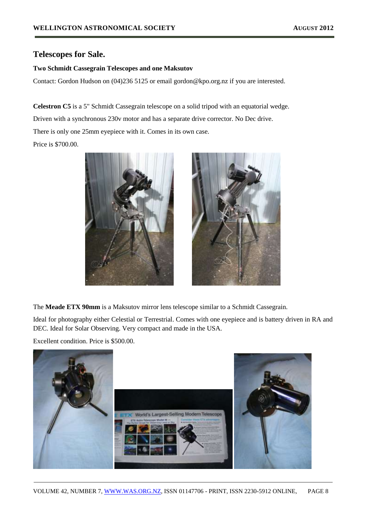### **Telescopes for Sale.**

#### **Two Schmidt Cassegrain Telescopes and one Maksutov**

Contact: Gordon Hudson on (04)236 5125 or email gordon@kpo.org.nz if you are interested.

**Celestron C5** is a 5" Schmidt Cassegrain telescope on a solid tripod with an equatorial wedge.

Driven with a synchronous 230v motor and has a separate drive corrector. No Dec drive.

There is only one 25mm eyepiece with it. Comes in its own case.

Price is \$700.00.



The **Meade ETX 90mm** is a Maksutov mirror lens telescope similar to a Schmidt Cassegrain.

Ideal for photography either Celestial or Terrestrial. Comes with one eyepiece and is battery driven in RA and DEC. Ideal for Solar Observing. Very compact and made in the USA.

Excellent condition. Price is \$500.00.

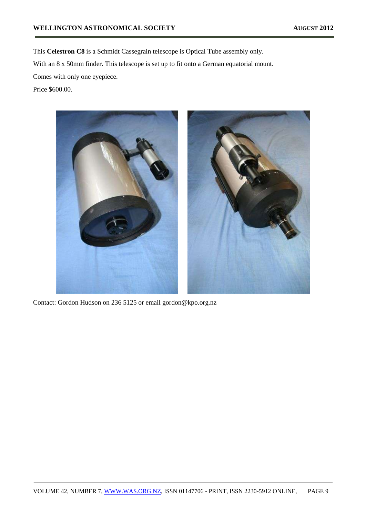This **Celestron C8** is a Schmidt Cassegrain telescope is Optical Tube assembly only. With an 8 x 50mm finder. This telescope is set up to fit onto a German equatorial mount. Comes with only one eyepiece.

Price \$600.00.



Contact: Gordon Hudson on 236 5125 or email gordon@kpo.org.nz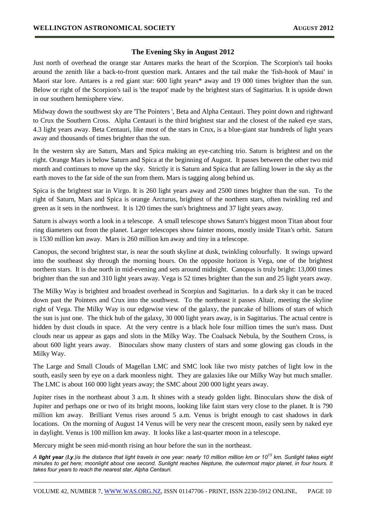#### **The Evening Sky in August 2012**

Just north of overhead the orange star Antares marks the heart of the Scorpion. The Scorpion's tail hooks around the zenith like a back-to-front question mark. Antares and the tail make the 'fish-hook of Maui' in Maori star lore. Antares is a red giant star: 600 light years\* away and 19 000 times brighter than the sun. Below or right of the Scorpion's tail is 'the teapot' made by the brightest stars of Sagittarius. It is upside down in our southern hemisphere view.

Midway down the southwest sky are 'The Pointers ', Beta and Alpha Centauri. They point down and rightward to Crux the Southern Cross. Alpha Centauri is the third brightest star and the closest of the naked eye stars, 4.3 light years away. Beta Centauri, like most of the stars in Crux, is a blue-giant star hundreds of light years away and thousands of times brighter than the sun.

In the western sky are Saturn, Mars and Spica making an eye-catching trio. Saturn is brightest and on the right. Orange Mars is below Saturn and Spica at the beginning of August. It passes between the other two mid month and continues to move up the sky. Strictly it is Saturn and Spica that are falling lower in the sky as the earth moves to the far side of the sun from them. Mars is tagging along behind us.

Spica is the brightest star in Virgo. It is 260 light years away and 2500 times brighter than the sun. To the right of Saturn, Mars and Spica is orange Arcturus, brightest of the northern stars, often twinkling red and green as it sets in the northwest. It is 120 times the sun's brightness and 37 light years away.

Saturn is always worth a look in a telescope. A small telescope shows Saturn's biggest moon Titan about four ring diameters out from the planet. Larger telescopes show fainter moons, mostly inside Titan's orbit. Saturn is 1530 million km away. Mars is 260 million km away and tiny in a telescope.

Canopus, the second brightest star, is near the south skyline at dusk, twinkling colourfully. It swings upward into the southeast sky through the morning hours. On the opposite horizon is Vega, one of the brightest northern stars. It is due north in mid-evening and sets around midnight. Canopus is truly bright: 13,000 times brighter than the sun and 310 light years away. Vega is 52 times brighter than the sun and 25 light years away.

The Milky Way is brightest and broadest overhead in Scorpius and Sagittarius. In a dark sky it can be traced down past the Pointers and Crux into the southwest. To the northeast it passes Altair, meeting the skyline right of Vega. The Milky Way is our edgewise view of the galaxy, the pancake of billions of stars of which the sun is just one. The thick hub of the galaxy, 30 000 light years away, is in Sagittarius. The actual centre is hidden by dust clouds in space. At the very centre is a black hole four million times the sun's mass. Dust clouds near us appear as gaps and slots in the Milky Way. The Coalsack Nebula, by the Southern Cross, is about 600 light years away. Binoculars show many clusters of stars and some glowing gas clouds in the Milky Way.

The Large and Small Clouds of Magellan LMC and SMC look like two misty patches of light low in the south, easily seen by eye on a dark moonless night. They are galaxies like our Milky Way but much smaller. The LMC is about 160 000 light years away; the SMC about 200 000 light years away.

Jupiter rises in the northeast about 3 a.m. It shines with a steady golden light. Binoculars show the disk of Jupiter and perhaps one or two of its bright moons, looking like faint stars very close to the planet. It is 790 million km away. Brilliant Venus rises around 5 a.m. Venus is bright enough to cast shadows in dark locations. On the morning of August 14 Venus will be very near the crescent moon, easily seen by naked eye in daylight. Venus is 100 million km away. It looks like a last-quarter moon in a telescope.

Mercury might be seen mid-month rising an hour before the sun in the northeast.

*A light year (l.y.)is the distance that light travels in one year: nearly 10 million million km or 10 <sup>13</sup> km. Sunlight takes eight minutes to get here; moonlight about one second. Sunlight reaches Neptune, the outermost major planet, in four hours. It takes four years to reach the nearest star, Alpha Centauri.*